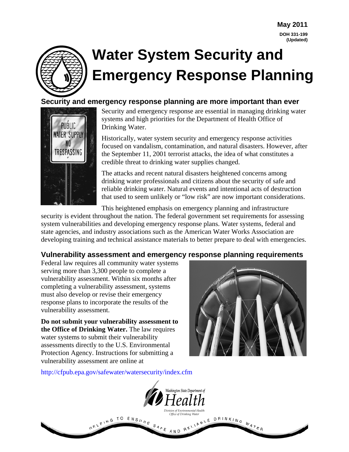

# **Water System Security and Emergency Response Planning**

#### **Security and emergency response planning are more important than ever**



Security and emergency response are essential in managing drinking water systems and high priorities for the Department of Health Office of Drinking Water.

Historically, water system security and emergency response activities focused on vandalism, contamination, and natural disasters. However, after the September 11, 2001 terrorist attacks, the idea of what constitutes a credible threat to drinking water supplies changed.

The attacks and recent natural disasters heightened concerns among drinking water professionals and citizens about the security of safe and reliable drinking water. Natural events and intentional acts of destruction that used to seem unlikely or "low risk" are now important considerations.

This heightened emphasis on emergency planning and infrastructure

security is evident throughout the nation. The federal government set requirements for assessing system vulnerabilities and developing emergency response plans. Water systems, federal and state agencies, and industry associations such as the American Water Works Association are developing training and technical assistance materials to better prepare to deal with emergencies.

#### **Vulnerability assessment and emergency response planning requirements**

Federal law requires all community water systems serving more than 3,300 people to complete a vulnerability assessment. Within six months after completing a vulnerability assessment, systems must also develop or revise their emergency response plans to incorporate the results of the vulnerability assessment.

**Do not submit your vulnerability assessment to the Office of Drinking Water.** The law requires water systems to submit their vulnerability assessments directly to the U.S. Environmental Protection Agency. Instructions for submitting a vulnerability assessment are online at



<http://cfpub.epa.gov/safewater/watersecurity/index.cfm>

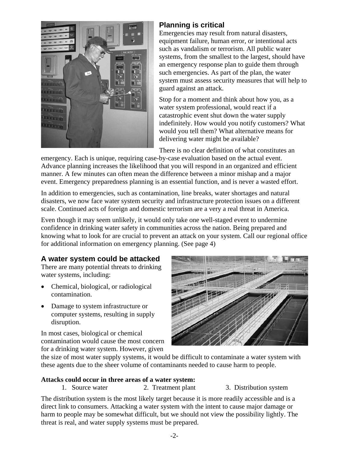

## **Planning is critical**

Emergencies may result from natural disasters, equipment failure, human error, or intentional acts such as vandalism or terrorism. All public water systems, from the smallest to the largest, should have an emergency response plan to guide them through such emergencies. As part of the plan, the water system must assess security measures that will help to guard against an attack.

Stop for a moment and think about how you, as a water system professional, would react if a catastrophic event shut down the water supply indefinitely. How would you notify customers? What would you tell them? What alternative means for delivering water might be available?

There is no clear definition of what constitutes an

emergency. Each is unique, requiring case-by-case evaluation based on the actual event. Advance planning increases the likelihood that you will respond in an organized and efficient manner. A few minutes can often mean the difference between a minor mishap and a major event. Emergency preparedness planning is an essential function, and is never a wasted effort.

In addition to emergencies, such as contamination, line breaks, water shortages and natural disasters, we now face water system security and infrastructure protection issues on a different scale. Continued acts of foreign and domestic terrorism are a very a real threat in America.

Even though it may seem unlikely, it would only take one well-staged event to undermine confidence in drinking water safety in communities across the nation. Being prepared and knowing what to look for are crucial to prevent an attack on your system. Call our regional office for additional information on emergency planning. (See page 4)

#### **A water system could be attacked**

There are many potential threats to drinking water systems, including:

- Chemical, biological, or radiological contamination.
- Damage to system infrastructure or computer systems, resulting in supply disruption.

In most cases, biological or chemical contamination would cause the most concern for a drinking water system. However, given



the size of most water supply systems, it would be difficult to contaminate a water system with these agents due to the sheer volume of contaminants needed to cause harm to people.

#### **Attacks could occur in three areas of a water system:**

- 1. Source water 2. Treatment plant 3. Distribution system
- 

The distribution system is the most likely target because it is more readily accessible and is a direct link to consumers. Attacking a water system with the intent to cause major damage or harm to people may be somewhat difficult, but we should not view the possibility lightly. The threat is real, and water supply systems must be prepared.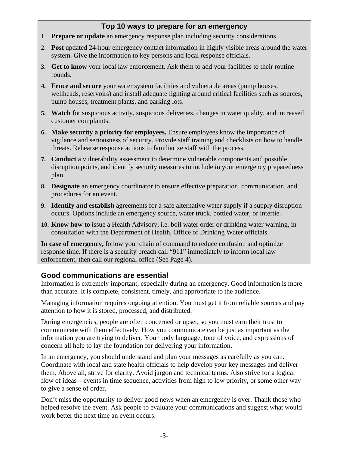## **Top 10 ways to prepare for an emergency**

- 1. **Prepare or update** an emergency response plan including security considerations.
- 2. **Post** updated 24-hour emergency contact information in highly visible areas around the water system. Give the information to key persons and local response officials.
- **3. Get to know** your local law enforcement. Ask them to add your facilities to their routine rounds.
- **4. Fence and secure** your water system facilities and vulnerable areas (pump houses, wellheads, reservoirs) and install adequate lighting around critical facilities such as sources, pump houses, treatment plants, and parking lots.
- **5. Watch** for suspicious activity, suspicious deliveries, changes in water quality, and increased customer complaints.
- **6. Make security a priority for employees.** Ensure employees know the importance of vigilance and seriousness of security. Provide staff training and checklists on how to handle threats. Rehearse response actions to familiarize staff with the process.
- **7. Conduct** a vulnerability assessment to determine vulnerable components and possible disruption points, and identify security measures to include in your emergency preparedness plan.
- **8. Designate** an emergency coordinator to ensure effective preparation, communication, and procedures for an event.
- **9. Identify and establish** agreements for a safe alternative water supply if a supply disruption occurs. Options include an emergency source, water truck, bottled water, or intertie.
- **10. Know how to** issue a Health Advisory, i.e. boil water order or drinking water warning, in consultation with the Department of Health, Office of Drinking Water officials.

**In case of emergency,** follow your chain of command to reduce confusion and optimize response time. If there is a security breach call "911" immediately to inform local law enforcement, then call our regional office (See Page 4).

### **Good communications are essential**

Information is extremely important, especially during an emergency. Good information is more than accurate. It is complete, consistent, timely, and appropriate to the audience.

Managing information requires ongoing attention. You must get it from reliable sources and pay attention to how it is stored, processed, and distributed.

During emergencies, people are often concerned or upset, so you must earn their trust to communicate with them effectively. How you communicate can be just as important as the information you are trying to deliver. Your body language, tone of voice, and expressions of concern all help to lay the foundation for delivering your information.

In an emergency, you should understand and plan your messages as carefully as you can. Coordinate with local and state health officials to help develop your key messages and deliver them. Above all, strive for clarity. Avoid jargon and technical terms. Also strive for a logical flow of ideas—events in time sequence, activities from high to low priority, or some other way to give a sense of order.

Don't miss the opportunity to deliver good news when an emergency is over. Thank those who helped resolve the event. Ask people to evaluate your communications and suggest what would work better the next time an event occurs.